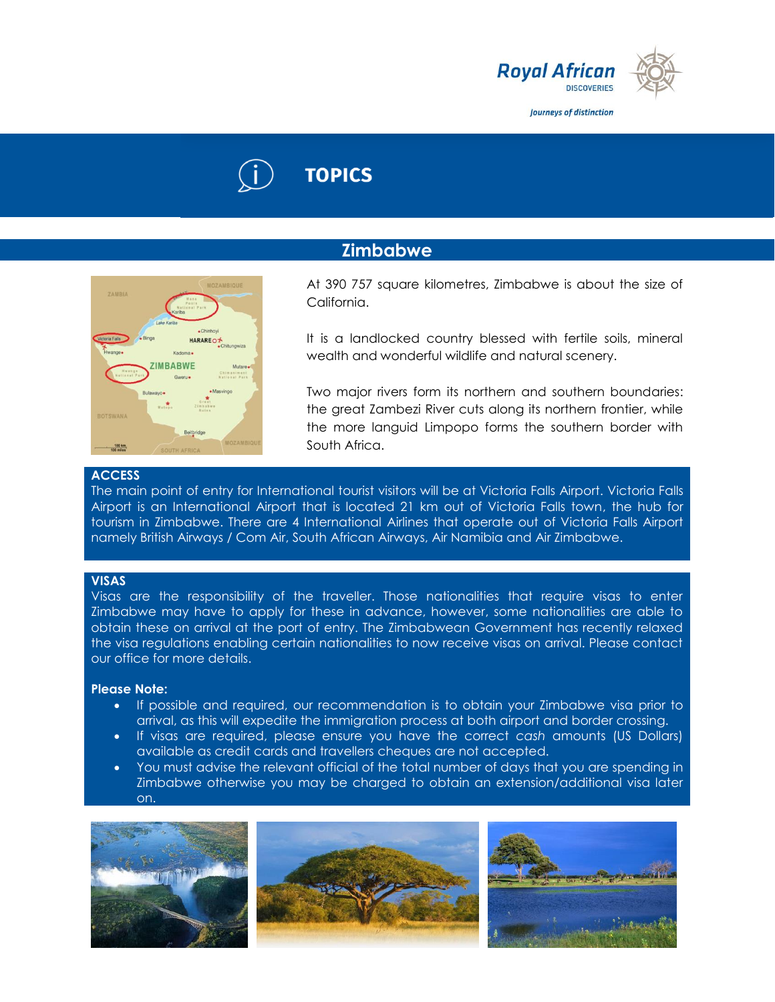

Journeys of distinction

# **TOPICS**

## **Zimbabwe**



At 390 757 square kilometres, Zimbabwe is about the size of California.

It is a landlocked country blessed with fertile soils, mineral wealth and wonderful wildlife and natural scenery.

Two major rivers form its northern and southern boundaries: the great Zambezi River cuts along its northern frontier, while the more languid Limpopo forms the southern border with South Africa.

## **ACCESS**

The main point of entry for International tourist visitors will be at Victoria Falls Airport. Victoria Falls Airport is an International Airport that is located 21 km out of Victoria Falls town, the hub for tourism in Zimbabwe. There are 4 International Airlines that operate out of Victoria Falls Airport namely British Airways / Com Air, South African Airways, Air Namibia and Air Zimbabwe.

## **VISAS**

Visas are the responsibility of the traveller. Those nationalities that require visas to enter Zimbabwe may have to apply for these in advance, however, some nationalities are able to obtain these on arrival at the port of entry. The Zimbabwean Government has recently relaxed the visa regulations enabling certain nationalities to now receive visas on arrival. Please contact our office for more details.

## **Please Note:**

- If possible and required, our recommendation is to obtain your Zimbabwe visa prior to arrival, as this will expedite the immigration process at both airport and border crossing.
- If visas are required, please ensure you have the correct *cash* amounts (US Dollars) available as credit cards and travellers cheques are not accepted.
- You must advise the relevant official of the total number of days that you are spending in Zimbabwe otherwise you may be charged to obtain an extension/additional visa later on.

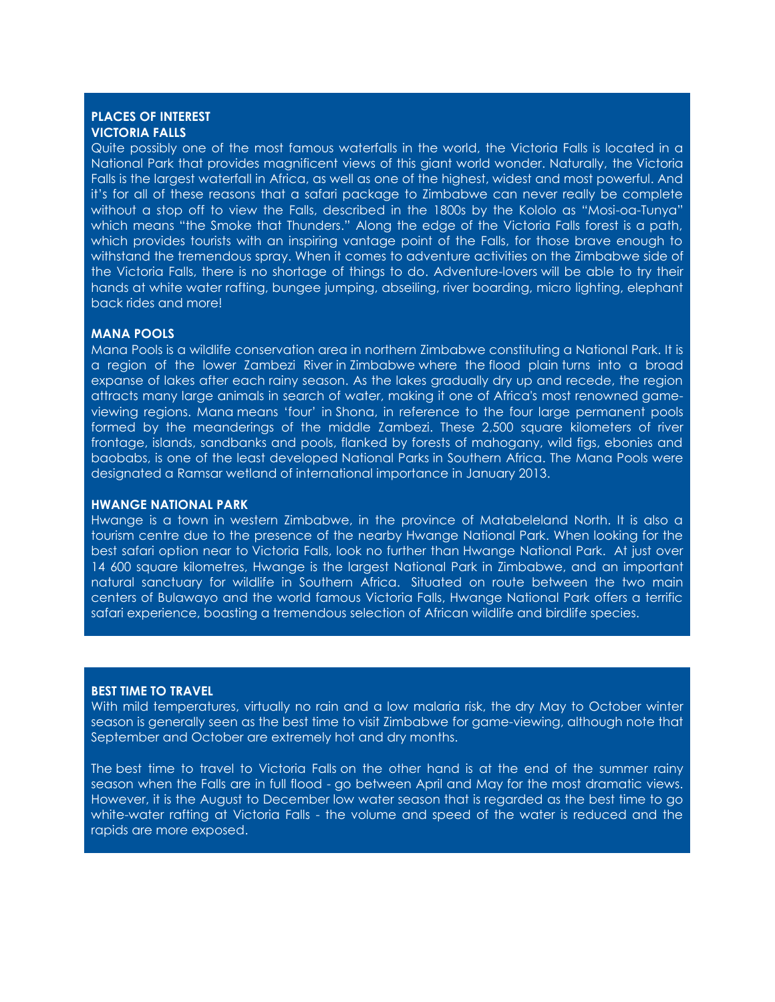## **PLACES OF INTEREST VICTORIA FALLS**

Quite possibly one of the most famous waterfalls in the world, the Victoria Falls is located in a National Park that provides magnificent views of this giant world wonder. Naturally, the Victoria Falls is the largest waterfall in Africa, as well as one of the highest, widest and most powerful. And it's for all of these reasons that a safari package to Zimbabwe can never really be complete without a stop off to view the Falls, described in the 1800s by the Kololo as "Mosi-oa-Tunya" which means "the Smoke that Thunders." Along the edge of the Victoria Falls forest is a path, which provides tourists with an inspiring vantage point of the Falls, for those brave enough to withstand the tremendous spray. When it comes to adventure activities on the Zimbabwe side of the Victoria Falls, there is no shortage of things to do. Adventure-lovers will be able to try their hands at white water rafting, bungee jumping, abseiling, river boarding, micro lighting, elephant back rides and more!

## **MANA POOLS**

Mana Pools is a wildlife conservation area in northern Zimbabwe constituting a National Park. It is a region of the lower Zambezi River in Zimbabwe where the flood plain turns into a broad expanse of lakes after each rainy season. As the lakes gradually dry up and recede, the region attracts many large animals in search of water, making it one of Africa's most renowned gameviewing regions. Mana means 'four' in Shona, in reference to the four large permanent pools formed by the meanderings of the middle Zambezi. These 2,500 square kilometers of river frontage, islands, sandbanks and pools, flanked by forests of mahogany, wild figs, ebonies and baobabs, is one of the least developed National Parks in Southern Africa. The Mana Pools were designated a Ramsar wetland of international importance in January 2013.

#### **HWANGE NATIONAL PARK**

Hwange is a town in western Zimbabwe, in the province of Matabeleland North. It is also a tourism centre due to the presence of the nearby Hwange National Park. When looking for the best safari option near to Victoria Falls, look no further than Hwange National Park. At just over 14 600 square kilometres, Hwange is the largest National Park in Zimbabwe, and an important natural sanctuary for wildlife in Southern Africa. Situated on route between the two main centers of Bulawayo and the world famous Victoria Falls, Hwange National Park offers a terrific safari experience, boasting a tremendous selection of African wildlife and birdlife species.

## **BEST TIME TO TRAVEL**

With mild temperatures, virtually no rain and a low malaria risk, the dry May to October winter season is generally seen as the best time to visit Zimbabwe for game-viewing, although note that September and October are extremely hot and dry months.

The best time to travel to Victoria Falls on the other hand is at the end of the summer rainy season when the Falls are in full flood - go between April and May for the most dramatic views. However, it is the August to December low water season that is regarded as the best time to go white-water rafting at Victoria Falls - the volume and speed of the water is reduced and the rapids are more exposed.